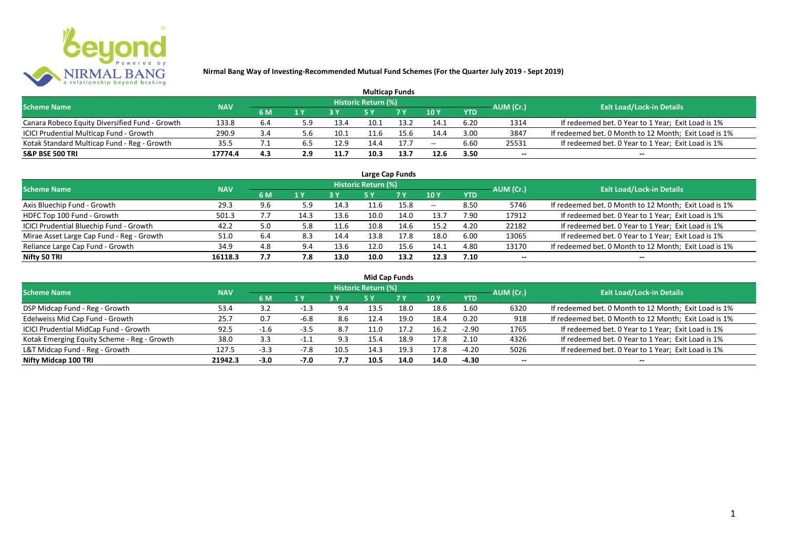

|                                                |            |     |     |      |                     | <b>Multicap Funds</b> |                 |            |           |                                                       |
|------------------------------------------------|------------|-----|-----|------|---------------------|-----------------------|-----------------|------------|-----------|-------------------------------------------------------|
| <b>Scheme Name</b>                             | <b>NAV</b> |     |     |      | Historic Return (%) |                       |                 |            | AUM (Cr.) | <b>Exit Load/Lock-in Details</b>                      |
|                                                |            | 6 M | 1 Y |      |                     | 7 V                   | 10 <sub>Y</sub> | <b>YTD</b> |           |                                                       |
| Canara Robeco Equity Diversified Fund - Growth | 133.8      | 6.4 | 5.9 | 13.4 | 10.1                | 13.7                  | 14.1            | 6.20       | 1314      | If redeemed bet. 0 Year to 1 Year; Exit Load is 1%    |
| ICICI Prudential Multicap Fund - Growth        | 290.9      | 3.4 | o.b | 10.1 |                     | 15.6                  | 14.4            | 3.00       | 3847      | If redeemed bet. 0 Month to 12 Month; Exit Load is 1% |
| Kotak Standard Multicap Fund - Reg - Growth    | 35.5       |     | כ.ס | 12.9 | 14.4                | 17.7                  | $- -$           | 6.60       | 25531     | If redeemed bet. 0 Year to 1 Year; Exit Load is 1%    |
| <b>S&amp;P BSE 500 TRI</b>                     | 17774.4    | 4.3 | 2.9 | 11.7 | 10.3                | 13.7                  | 12.6            | 3.50       | $- -$     | $- -$                                                 |

|                                           |            |     |              |      |                            | Large Cap Funds |                          |            |           |                                                       |
|-------------------------------------------|------------|-----|--------------|------|----------------------------|-----------------|--------------------------|------------|-----------|-------------------------------------------------------|
| <b>Scheme Name</b>                        | <b>NAV</b> |     |              |      | <b>Historic Return (%)</b> |                 |                          |            | AUM (Cr.) | <b>Exit Load/Lock-in Details</b>                      |
|                                           |            | 6 M | $\sqrt{1}$ Y |      | 5 Y                        | 7 Y             | 10Y                      | <b>YTD</b> |           |                                                       |
| Axis Bluechip Fund - Growth               | 29.3       | 9.6 | 5.9          | 14.3 |                            | 15.8            | $\overline{\phantom{a}}$ | 8.50       | 5746      | If redeemed bet. 0 Month to 12 Month; Exit Load is 1% |
| HDFC Top 100 Fund - Growth                | 501.3      |     | 14.3         | 13.6 | 10.0                       | 14.0            | 13.7                     | 7.90       | 17912     | If redeemed bet. 0 Year to 1 Year; Exit Load is 1%    |
| ICICI Prudential Bluechip Fund - Growth   | 42.2       | 5.0 | 5.8          | 11.6 | 10.8                       | 14.6            | 15.2                     | 4.20       | 22182     | If redeemed bet. 0 Year to 1 Year; Exit Load is 1%    |
| Mirae Asset Large Cap Fund - Reg - Growth | 51.0       | 6.4 | 8.3          | 14.4 | 13.8                       | 17.8            | 18.0                     | 6.00       | 13065     | If redeemed bet. 0 Year to 1 Year; Exit Load is 1%    |
| Reliance Large Cap Fund - Growth          | 34.9       | 4.8 | 9.4          | 13.6 | 12.0                       | 15.6            | 14.1                     | 4.80       | 13170     | If redeemed bet. 0 Month to 12 Month; Exit Load is 1% |
| Nifty 50 TRI                              | 16118.3    | 7.7 | 7.8          | 13.0 | 10.0                       | 13.2            | 12.3                     | 7.10       | $- -$     | $- -$                                                 |

| <b>Mid Cap Funds</b>                        |            |        |        |      |                            |           |      |            |                          |                                                       |  |  |  |  |
|---------------------------------------------|------------|--------|--------|------|----------------------------|-----------|------|------------|--------------------------|-------------------------------------------------------|--|--|--|--|
| <b>Scheme Name</b>                          | <b>NAV</b> |        |        |      | <b>Historic Return (%)</b> |           |      |            | AUM (Cr.)                | <b>Exit Load/Lock-in Details</b>                      |  |  |  |  |
|                                             |            | 6 M    | 1 Y    |      | 5 Y                        | <b>7Y</b> | 10Y  | <b>YTD</b> |                          |                                                       |  |  |  |  |
| DSP Midcap Fund - Reg - Growth              | 53.4       | 3.2    | -1.3   | 9.4  | 13.5                       | 18.0      | 18.6 | 1.60       | 6320                     | If redeemed bet. 0 Month to 12 Month; Exit Load is 1% |  |  |  |  |
| Edelweiss Mid Cap Fund - Growth             | 25.7       | 0.7    | -6.8   | 8.6  | 12.4                       | 19.0      | 18.4 | 0.20       | 918                      | If redeemed bet. 0 Month to 12 Month; Exit Load is 1% |  |  |  |  |
| ICICI Prudential MidCap Fund - Growth       | 92.5       | $-1$   | $-3.5$ | 8.7  | 1.0ء                       | 17.2      | 16.2 | $-2.90$    | 1765                     | If redeemed bet. 0 Year to 1 Year; Exit Load is 1%    |  |  |  |  |
| Kotak Emerging Equity Scheme - Reg - Growth | 38.0       | 3.3    | -1.1   | 9.3  | 15.4                       | 18.9      | 17.8 | 2.10       | 4326                     | If redeemed bet. 0 Year to 1 Year; Exit Load is 1%    |  |  |  |  |
| L&T Midcap Fund - Reg - Growth              | 127.5      | $-3.3$ | $-7.8$ | 10.5 | 14.3                       | 19.3      | 17.8 | $-4.20$    | 5026                     | If redeemed bet. 0 Year to 1 Year; Exit Load is 1%    |  |  |  |  |
| Nifty Midcap 100 TRI                        | 21942.3    | $-3.0$ | $-7.0$ | 7.7  | 10.5                       | 14.0      | 14.0 | -4.30      | $\overline{\phantom{a}}$ | $- -$                                                 |  |  |  |  |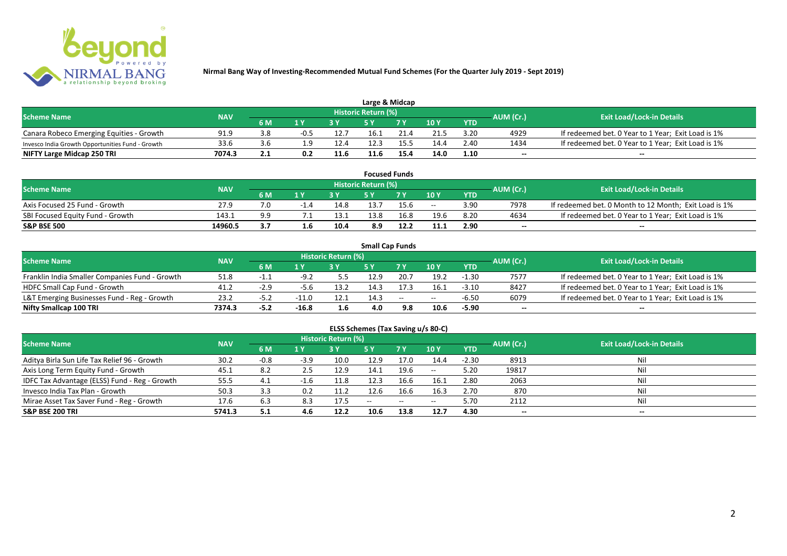

| Large & Midcap                                   |            |                                      |                         |      |                            |      |      |            |           |                                                    |  |  |  |
|--------------------------------------------------|------------|--------------------------------------|-------------------------|------|----------------------------|------|------|------------|-----------|----------------------------------------------------|--|--|--|
| <b>Scheme Name</b>                               | <b>NAV</b> |                                      |                         |      | <b>Historic Return (%)</b> |      |      |            | AUM (Cr.) | <b>Exit Load/Lock-in Details</b>                   |  |  |  |
|                                                  |            | 6 M                                  | $\mathbf{A} \mathbf{V}$ |      |                            | 7 V  | 10Y  | <b>YTD</b> |           |                                                    |  |  |  |
| Canara Robeco Emerging Equities - Growth         | 91.9       | 3.8                                  | $-0.5$                  | 12.7 | 16.1                       | 21.4 | 21.5 | 3.20       | 4929      | If redeemed bet. 0 Year to 1 Year; Exit Load is 1% |  |  |  |
| Invesco India Growth Opportunities Fund - Growth | 33.6       |                                      |                         | 12.4 | 12.3                       |      | 14.4 | 2.40       | 1434      | If redeemed bet. 0 Year to 1 Year; Exit Load is 1% |  |  |  |
| NIFTY Large Midcap 250 TRI                       | 7074.3     | . .<br>$\mathbf{L} \cdot \mathbf{L}$ | 0.2                     | 11.6 | 11.6                       | 15.4 | 14.0 | 1.10       | $- -$     | $- -$                                              |  |  |  |

| <b>Focused Funds</b>             |            |     |     |      |                     |      |       |            |           |                                                       |  |  |  |
|----------------------------------|------------|-----|-----|------|---------------------|------|-------|------------|-----------|-------------------------------------------------------|--|--|--|
| <b>Scheme Name</b>               | <b>NAV</b> |     |     |      | Historic Return (%) |      |       |            | AUM (Cr.) | <b>Exit Load/Lock-in Details</b>                      |  |  |  |
|                                  |            | 6 M | 1 V |      | cν                  | 7 V  | 10 Y  | <b>YTD</b> |           |                                                       |  |  |  |
| Axis Focused 25 Fund - Growth    | 27.9       | 7.0 |     | 14.8 | 13.7                | 15.6 | $- -$ | 3.90       | 7978      | If redeemed bet. 0 Month to 12 Month; Exit Load is 1% |  |  |  |
| SBI Focused Equity Fund - Growth | 143.1      | 9.9 |     | 13.1 | 13.8                | 16.8 | 19.6  | 8.20       | 4634      | If redeemed bet. 0 Year to 1 Year; Exit Load is 1%    |  |  |  |
| <b>S&amp;P BSE 500</b>           | 14960.5    | 3.7 |     | 10.4 | 8.9                 | 12.2 | 11.1  | 2.90       | $- -$     | $- -$                                                 |  |  |  |

|                                                |            |        |         |                     |      | <b>Small Cap Funds</b> |       |            |           |                                                    |
|------------------------------------------------|------------|--------|---------|---------------------|------|------------------------|-------|------------|-----------|----------------------------------------------------|
| <b>Scheme Name</b>                             | <b>NAV</b> |        |         | Historic Return (%) |      |                        |       |            | AUM (Cr.) | <b>Exit Load/Lock-in Details</b>                   |
|                                                |            | 6 M    |         |                     |      |                        | 10Y   | <b>YTD</b> |           |                                                    |
| Franklin India Smaller Companies Fund - Growth | 51.8       | - 1. 1 | $-9.2$  | 5.5                 | 12.9 | 20.7                   | 19.2  | $-1.30$    | 7577      | If redeemed bet. 0 Year to 1 Year; Exit Load is 1% |
| HDFC Small Cap Fund - Growth                   | 41.2       |        | -5.6    | 13.2                | 14.3 |                        | 16.1  | $-3.10$    | 8427      | If redeemed bet. 0 Year to 1 Year; Exit Load is 1% |
| L&T Emerging Businesses Fund - Reg - Growth    | 23.2       | ے.כ-   | $-11.0$ | 12.1                | 14.3 | $\sim$                 | $- -$ | $-6.50$    | 6079      | If redeemed bet. 0 Year to 1 Year; Exit Load is 1% |
| Nifty Smallcap 100 TRI                         | 7374.3     | $-5.2$ | $-16.8$ | 1.6                 | 4.0  | 9.8                    | 10.6  | $-5.90$    | $- -$     | --                                                 |

# **ELSS Schemes (Tax Saving u/s 80-C)**

| <b>Scheme Name</b>                            | <b>NAV</b> |        |        | <b>Historic Return (%)</b> |            |            |               | AUM (Cr.)  | Exit Load/Lock-in Details |       |
|-----------------------------------------------|------------|--------|--------|----------------------------|------------|------------|---------------|------------|---------------------------|-------|
|                                               |            | 6 M    | 1 Y    |                            | <b>5 Y</b> | <b>7 Y</b> | 10Y           | <b>YTD</b> |                           |       |
| Aditya Birla Sun Life Tax Relief 96 - Growth  | 30.2       | $-0.8$ | $-3.9$ | 10.0                       | 12.9       | 17.0       | 14.4          | $-2.30$    | 8913                      | Nil   |
| Axis Long Term Equity Fund - Growth           | 45.1       | 8.2    | 2.5    | 12.9                       | 14.1       | 19.6       | $\sim$ $\sim$ | 5.20       | 19817                     | Nil   |
| IDFC Tax Advantage (ELSS) Fund - Reg - Growth | 55.5       | 4.1    | $-1.6$ | 11.8                       | 12.3       | 16.6       | 16.1          | 2.80       | 2063                      | Nil   |
| Invesco India Tax Plan - Growth               | 50.3       | 3.3    | 0.2    | 11.2                       | 12.6       | 16.6       | 16.3          | 2.70       | 870                       | Nil   |
| Mirae Asset Tax Saver Fund - Reg - Growth     | 17.6       | 6.3    | 8.3    | 17.5                       | $- -$      | $- -$      | $- -$         | 5.70       | 2112                      | Nil   |
| <b>S&amp;P BSE 200 TRI</b>                    | 5741.3     | 5.1    | 4.6    | 12.2                       | 10.6       | 13.8       | 12.7          | 4.30       | $- -$                     | $- -$ |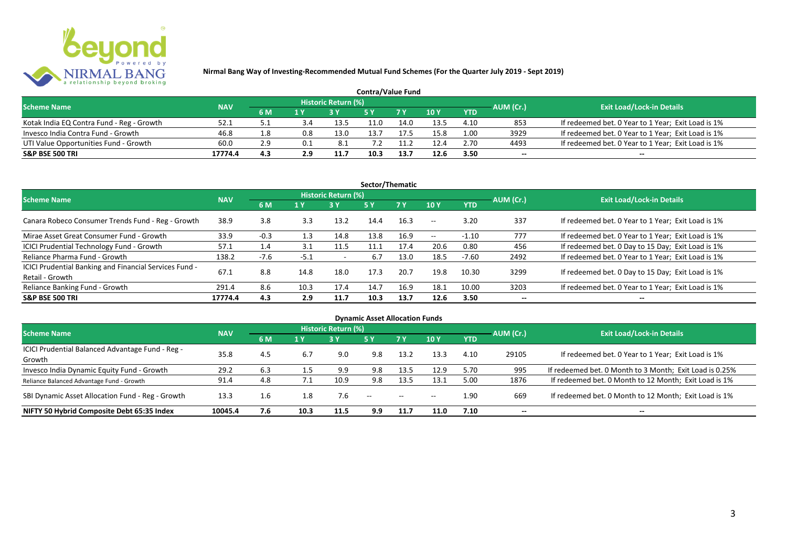

| <b>Contra/Value Fund</b>                  |            |           |     |                     |      |      |      |            |           |                                                    |  |  |  |
|-------------------------------------------|------------|-----------|-----|---------------------|------|------|------|------------|-----------|----------------------------------------------------|--|--|--|
| <b>Scheme Name</b>                        | <b>NAV</b> |           |     | Historic Return (%) |      |      |      |            | AUM (Cr.) | <b>Exit Load/Lock-in Details</b>                   |  |  |  |
|                                           |            | <b>6M</b> | 1 Y |                     |      | 7 Y  | 10Y  | <b>YTD</b> |           |                                                    |  |  |  |
| Kotak India EQ Contra Fund - Reg - Growth | 52.1       | 5.1       |     | 13.5                | 11.0 | 14.0 | 13.5 | 4.10       | 853       | If redeemed bet. 0 Year to 1 Year; Exit Load is 1% |  |  |  |
| Invesco India Contra Fund - Growth        | 46.8       | 1.8       | 0.8 | 13 <sub>c</sub>     | L3.7 |      | 15.8 | 1.00       | 3929      | If redeemed bet. 0 Year to 1 Year; Exit Load is 1% |  |  |  |
| UTI Value Opportunities Fund - Growth     | 60.0       | 2.9       |     | 8.1                 |      | 1.2  | 12.4 | 2.70       | 4493      | If redeemed bet. 0 Year to 1 Year; Exit Load is 1% |  |  |  |
| <b>S&amp;P BSE 500 TRI</b>                | 17774.4    | 4.3       | 2.9 | 11.7                | 10.3 | 13.7 | 12.6 | 3.50       | --        | $- -$                                              |  |  |  |

| Sector/Thematic                                                           |            |        |        |                            |      |           |               |            |           |                                                    |  |  |  |
|---------------------------------------------------------------------------|------------|--------|--------|----------------------------|------|-----------|---------------|------------|-----------|----------------------------------------------------|--|--|--|
| <b>Scheme Name</b>                                                        | <b>NAV</b> |        |        | <b>Historic Return (%)</b> |      |           |               |            | AUM (Cr.) | <b>Exit Load/Lock-in Details</b>                   |  |  |  |
|                                                                           |            | 6 M    | 1 Y    | <b>3 Y</b>                 | 5Y   | <b>7Y</b> | 10Y           | <b>YTD</b> |           |                                                    |  |  |  |
| Canara Robeco Consumer Trends Fund - Reg - Growth                         | 38.9       | 3.8    | 3.3    | 13.2                       | 14.4 | 16.3      | $\sim$ $\sim$ | 3.20       | 337       | If redeemed bet. 0 Year to 1 Year; Exit Load is 1% |  |  |  |
| Mirae Asset Great Consumer Fund - Growth                                  | 33.9       | $-0.3$ | 1.3    | 14.8                       | 13.8 | 16.9      | $\sim$ $\sim$ | $-1.10$    | 777       | If redeemed bet. 0 Year to 1 Year; Exit Load is 1% |  |  |  |
| ICICI Prudential Technology Fund - Growth                                 | 57.1       | 1.4    | 3.1    | 11.5                       | 11.1 | 17.4      | 20.6          | 0.80       | 456       | If redeemed bet. 0 Day to 15 Day; Exit Load is 1%  |  |  |  |
| Reliance Pharma Fund - Growth                                             | 138.2      | $-7.6$ | $-5.1$ | $\overline{\phantom{a}}$   | 6.7  | 13.0      | 18.5          | $-7.60$    | 2492      | If redeemed bet. 0 Year to 1 Year; Exit Load is 1% |  |  |  |
| ICICI Prudential Banking and Financial Services Fund -<br>Retail - Growth | 67.1       | 8.8    | 14.8   | 18.0                       | 17.3 | 20.7      | 19.8          | 10.30      | 3299      | If redeemed bet. 0 Day to 15 Day; Exit Load is 1%  |  |  |  |
| Reliance Banking Fund - Growth                                            | 291.4      | 8.6    | 10.3   | 17.4                       | 14.7 | 16.9      | 18.1          | 10.00      | 3203      | If redeemed bet. 0 Year to 1 Year; Exit Load is 1% |  |  |  |
| <b>S&amp;P BSE 500 TRI</b>                                                | 17774.4    | 4.3    | 2.9    | 11.7                       | 10.3 | 13.7      | 12.6          | 3.50       | --        | $- -$                                              |  |  |  |

| <b>Dynamic Asset Allocation Funds</b>            |            |     |      |                            |               |               |       |            |                          |                                                         |  |  |  |
|--------------------------------------------------|------------|-----|------|----------------------------|---------------|---------------|-------|------------|--------------------------|---------------------------------------------------------|--|--|--|
| <b>Scheme Name</b>                               | <b>NAV</b> |     |      | <b>Historic Return (%)</b> |               |               |       |            | AUM (Cr.)                | <b>Exit Load/Lock-in Details</b>                        |  |  |  |
|                                                  |            | 6 M | 1 Y  | 73 Y.                      | 5 Y           | .7 Y          | 10Y   | <b>YTD</b> |                          |                                                         |  |  |  |
| ICICI Prudential Balanced Advantage Fund - Reg - | 35.8       | 4.5 |      |                            |               |               |       | 4.10       |                          |                                                         |  |  |  |
| Growth                                           |            |     | 6.7  | 9.0                        | 9.8           | 13.2          | 13.3  |            | 29105                    | If redeemed bet. 0 Year to 1 Year; Exit Load is 1%      |  |  |  |
| Invesco India Dynamic Equity Fund - Growth       | 29.2       | 6.3 |      | 9.9                        | 9.8           | 13.5          | 12.9  | 5.70       | 995                      | If redeemed bet. 0 Month to 3 Month; Exit Load is 0.25% |  |  |  |
| Reliance Balanced Advantage Fund - Growth        | 91.4       | 4.8 |      | 10.9                       | 9.8           | 13.5          | 13.1  | 5.00       | 1876                     | If redeemed bet. 0 Month to 12 Month; Exit Load is 1%   |  |  |  |
| SBI Dynamic Asset Allocation Fund - Reg - Growth | 13.3       | 1.6 | 1.8  | 7.6                        | $\sim$ $\sim$ | $\sim$ $\sim$ | $- -$ | 1.90       | 669                      | If redeemed bet. 0 Month to 12 Month; Exit Load is 1%   |  |  |  |
| NIFTY 50 Hybrid Composite Debt 65:35 Index       | 10045.4    | 7.6 | 10.3 | 11.5                       | 9.9           | 11.7          | 11.0  | 7.10       | $\overline{\phantom{a}}$ | $- -$                                                   |  |  |  |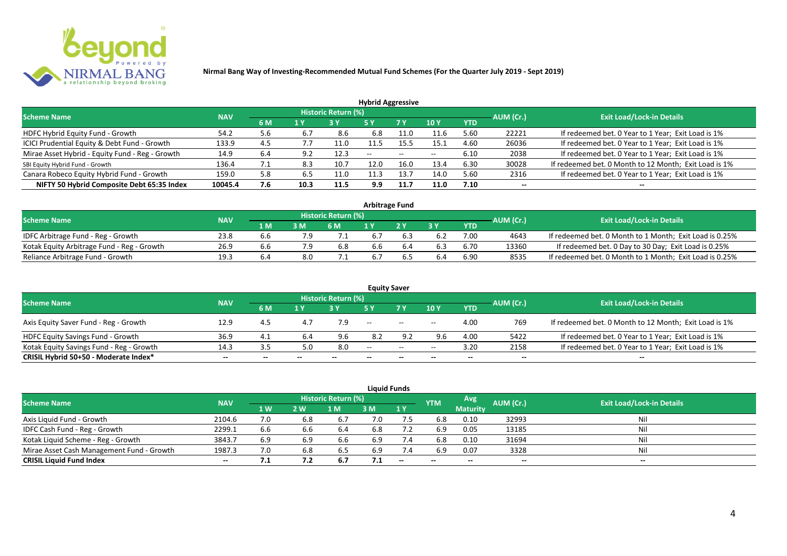

| <b>Hybrid Aggressive</b>                        |            |      |      |                            |                          |      |                          |            |                          |                                                       |  |  |  |
|-------------------------------------------------|------------|------|------|----------------------------|--------------------------|------|--------------------------|------------|--------------------------|-------------------------------------------------------|--|--|--|
| <b>Scheme Name</b>                              | <b>NAV</b> |      |      | <b>Historic Return (%)</b> |                          |      |                          |            | AUM (Cr.)                | <b>Exit Load/Lock-in Details</b>                      |  |  |  |
|                                                 |            | 6 M  | 1 Y  |                            | 5 Y                      | 7 Y  | 10Y                      | <b>YTD</b> |                          |                                                       |  |  |  |
| HDFC Hybrid Equity Fund - Growth                | 54.2       | 5.6  | 6.7  | 8.6                        | 6.8                      | 11.0 | 11.6                     | 5.60       | 22221                    | If redeemed bet. 0 Year to 1 Year; Exit Load is 1%    |  |  |  |
| ICICI Prudential Equity & Debt Fund - Growth    | 133.9      | 4.5  | 7.7  | 11.0                       | 11.5                     | 15.5 | 15.1                     | 4.60       | 26036                    | If redeemed bet. 0 Year to 1 Year; Exit Load is 1%    |  |  |  |
| Mirae Asset Hybrid - Equity Fund - Reg - Growth | 14.9       | 6.4  | 9.2  | 12.3                       | $\overline{\phantom{a}}$ | --   | $\overline{\phantom{a}}$ | 6.10       | 2038                     | If redeemed bet. 0 Year to 1 Year; Exit Load is 1%    |  |  |  |
| SBI Equity Hybrid Fund - Growth                 | 136.4      | 7. L | 8.3  | 10.7                       | 12.0                     | 16.0 | 13.4                     | 6.30       | 30028                    | If redeemed bet. 0 Month to 12 Month; Exit Load is 1% |  |  |  |
| Canara Robeco Equity Hybrid Fund - Growth       | 159.0      | 5.8  | 6.5  | 11.0                       |                          | 13.  | 14.0                     | 5.60       | 2316                     | If redeemed bet. 0 Year to 1 Year; Exit Load is 1%    |  |  |  |
| NIFTY 50 Hybrid Composite Debt 65:35 Index      | 10045.4    | 7.6  | 10.3 | 11.5                       | 9.9                      | 11.7 | 11.0                     | 7.10       | $\overline{\phantom{a}}$ | $- -$                                                 |  |  |  |

| <b>Arbitrage Fund</b>                      |            |     |     |                            |     |  |     |      |           |                                                         |  |  |  |
|--------------------------------------------|------------|-----|-----|----------------------------|-----|--|-----|------|-----------|---------------------------------------------------------|--|--|--|
| <b>Scheme Name</b>                         | <b>NAV</b> |     |     | <b>Historic Return (%)</b> |     |  |     |      | AUM (Cr.) | <b>Exit Load/Lock-in Details</b>                        |  |  |  |
|                                            |            | 1 M | 3 M | 6 M                        |     |  | 2 V | YTD  |           |                                                         |  |  |  |
| IDFC Arbitrage Fund - Reg - Growth         | 23.8       | b.b |     |                            | 6.7 |  |     | 7.00 | 4643      | If redeemed bet. 0 Month to 1 Month; Exit Load is 0.25% |  |  |  |
| Kotak Equity Arbitrage Fund - Reg - Growth | 26.9       | b.b |     | 6.8                        | 6.6 |  |     | 6.70 | 13360     | If redeemed bet. 0 Day to 30 Day; Exit Load is 0.25%    |  |  |  |
| Reliance Arbitrage Fund - Growth           | 19.3       |     | 8.0 |                            | 6.7 |  |     | 6.90 | 8535      | If redeemed bet. 0 Month to 1 Month; Exit Load is 0.25% |  |  |  |

|                                          |            |       |     |                     |       | <b>Equity Saver</b>                                 |       |            |           |                                                       |
|------------------------------------------|------------|-------|-----|---------------------|-------|-----------------------------------------------------|-------|------------|-----------|-------------------------------------------------------|
| <b>Scheme Name</b>                       | <b>NAV</b> |       |     | Historic Return (%) |       |                                                     |       |            |           | <b>Exit Load/Lock-in Details</b>                      |
|                                          |            | 6 M   | 1 Y |                     |       | 7 <sub>V</sub>                                      | 10Y   | <b>YTD</b> | AUM (Cr.) |                                                       |
| Axis Equity Saver Fund - Reg - Growth    | 12.9       | 4.5   |     |                     | $- -$ | $\hspace{0.1mm}-\hspace{0.1mm}-\hspace{0.1mm}$      | $- -$ | 4.00       | 769       | If redeemed bet. 0 Month to 12 Month; Exit Load is 1% |
| HDFC Equity Savings Fund - Growth        | 36.9       | 4.1   |     | 9.6                 | 8.2   | 9.2                                                 | 9.6   | 4.00       | 5422      | If redeemed bet. 0 Year to 1 Year; Exit Load is 1%    |
| Kotak Equity Savings Fund - Reg - Growth | 14.3       | 3.5   | 5.0 | 8.0                 | $-$   | $\hspace{0.05cm} -\hspace{0.05cm} -\hspace{0.05cm}$ | $- -$ | 3.20       | 2158      | If redeemed bet. 0 Year to 1 Year; Exit Load is 1%    |
| CRISIL Hybrid 50+50 - Moderate Index*    | $- -$      | $- -$ |     | --                  | --    | $- -$                                               |       | --         | --        | $- -$                                                 |

|                                           |            |     |     |                            |     | <b>Liquid Funds</b> |            |                 |           |                           |
|-------------------------------------------|------------|-----|-----|----------------------------|-----|---------------------|------------|-----------------|-----------|---------------------------|
| <b>Scheme Name</b>                        | <b>NAV</b> |     |     | <b>Historic Return (%)</b> |     |                     | <b>YTM</b> | Avg             | AUM (Cr.) | Exit Load/Lock-in Details |
|                                           |            | 1W  | 2 W | 1 M                        | 3 M | 1Y                  |            | <b>Maturity</b> |           |                           |
| Axis Liquid Fund - Growth                 | 2104.6     |     | 6.8 | 6.7                        | 7.0 |                     | 6.8        | 0.10            | 32993     | Nil                       |
| IDFC Cash Fund - Reg - Growth             | 2299.1     | 6.6 | 6.6 | 6.4                        | 6.8 | 7.2                 | 6.9        | 0.05            | 13185     | Nil                       |
| Kotak Liquid Scheme - Reg - Growth        | 3843.7     | 6.9 | 6.9 | 6.6                        | 6.9 | 7.4                 | 6.8        | 0.10            | 31694     | Nil                       |
| Mirae Asset Cash Management Fund - Growth | 1987.3     | 7.0 | 6.8 | 6.5                        | 6.9 | 7.4                 | 6.9        | 0.07            | 3328      | Nil                       |
| <b>CRISIL Liquid Fund Index</b>           | $- -$      | ,   |     | 6.7                        | 7.1 | $-$                 | $- -$      |                 | $- -$     | $- -$                     |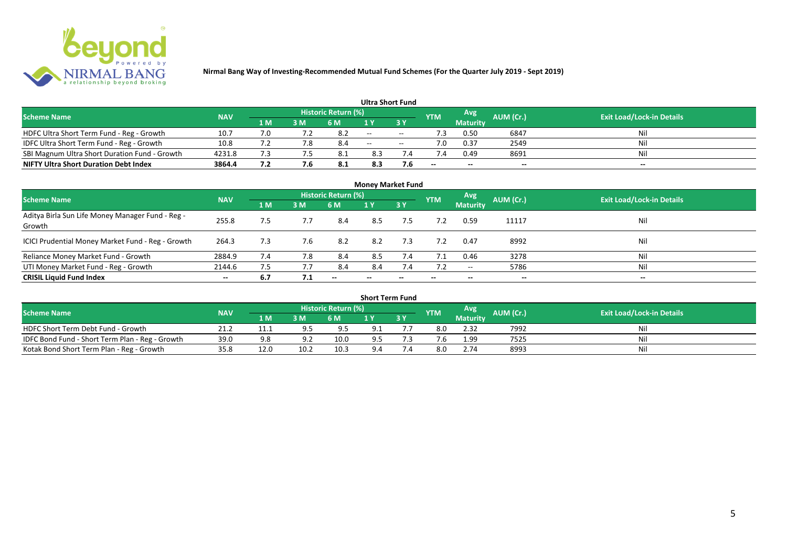

|                                               |            |     |     |                            | <b>Ultra Short Fund</b> |            |            |                 |           |                                  |
|-----------------------------------------------|------------|-----|-----|----------------------------|-------------------------|------------|------------|-----------------|-----------|----------------------------------|
| <b>Scheme Name</b>                            | <b>NAV</b> |     |     | <b>Historic Return (%)</b> |                         |            | <b>YTM</b> | Avg             | AUM (Cr.) | <b>Exit Load/Lock-in Details</b> |
|                                               |            | 1 M | 3 M | 6 M                        | 1 V                     |            |            | <b>Maturity</b> |           |                                  |
| HDFC Ultra Short Term Fund - Reg - Growth     | 10.7       |     |     |                            | $  \,$                  | $\sim$     | ٠3         | 0.50            | 6847      | Nil                              |
| IDFC Ultra Short Term Fund - Reg - Growth     | 10.8       |     |     | 8.4                        | $\sim$                  | $\sim$ $-$ |            | 0.37            | 2549      | Nil                              |
| SBI Magnum Ultra Short Duration Fund - Growth | 4231.8     |     |     |                            | 8.3                     |            |            | 0.49            | 8691      | Nil                              |
| <b>NIFTY Ultra Short Duration Debt Index</b>  | 3864.4     | 7.2 |     | 8.1                        | 8.3                     | 7.6        | --         | $- -$           | $- -$     | $- -$                            |

| <b>Money Market Fund</b>                                   |            |     |     |                     |       |                          |            |                 |                          |                                  |  |  |  |  |
|------------------------------------------------------------|------------|-----|-----|---------------------|-------|--------------------------|------------|-----------------|--------------------------|----------------------------------|--|--|--|--|
| <b>Scheme Name</b>                                         | <b>NAV</b> |     |     | Historic Return (%) |       |                          | <b>YTM</b> | Avg             | AUM (Cr.)                | <b>Exit Load/Lock-in Details</b> |  |  |  |  |
|                                                            |            | 1 M | 3M  | 6 M                 | 1Y    | 3Y                       |            | <b>Maturity</b> |                          |                                  |  |  |  |  |
| Aditya Birla Sun Life Money Manager Fund - Reg -<br>Growth | 255.8      | 7.5 |     | 8.4                 | 8.5   | 7.5                      |            | 0.59            | 11117                    | Nil                              |  |  |  |  |
| ICICI Prudential Money Market Fund - Reg - Growth          | 264.3      | 7.3 | 7.6 | 8.2                 | 8.2   | 7.3                      |            | 0.47            | 8992                     | Nil                              |  |  |  |  |
| Reliance Money Market Fund - Growth                        | 2884.9     | 7.4 | 7.8 | 8.4                 | 8.5   | 7.4                      | 7.1        | 0.46            | 3278                     | Nil                              |  |  |  |  |
| UTI Money Market Fund - Reg - Growth                       | 2144.6     | 7.5 | 7.7 | 8.4                 | 8.4   | 7.4                      | 7.2        | $- -$           | 5786                     | Nil                              |  |  |  |  |
| <b>CRISIL Liquid Fund Index</b>                            | $- -$      | 6.7 | 7.1 | $- -$               | $- -$ | $\overline{\phantom{a}}$ | $- -$      | $- -$           | $\overline{\phantom{a}}$ | $- -$                            |  |  |  |  |

| <b>Short Term Fund</b>                          |            |      |      |                            |     |    |                |                 |                  |                                  |  |  |  |  |
|-------------------------------------------------|------------|------|------|----------------------------|-----|----|----------------|-----------------|------------------|----------------------------------|--|--|--|--|
| <b>Scheme Name</b>                              | <b>NAV</b> |      |      | <b>Historic Return (%)</b> |     |    | <b>YTM</b>     | Avg             | <b>AUM</b> (Cr.) | <b>Exit Load/Lock-in Details</b> |  |  |  |  |
|                                                 |            | 1 M  | 3 M  | 6 M                        |     | 3Y |                | <b>Maturity</b> |                  |                                  |  |  |  |  |
| HDFC Short Term Debt Fund - Growth              | 21.2       | 11.1 | 9.5  | 9.5                        | 9.1 |    | 8.0            | 2.32            | 7992             | Nil                              |  |  |  |  |
| IDFC Bond Fund - Short Term Plan - Reg - Growth | 39.0       | 9.8  | Q 7  | 10.0                       | 9.5 |    | $^{\prime}$ .b | 1.99            | 7525             | Nil                              |  |  |  |  |
| Kotak Bond Short Term Plan - Reg - Growth       | 35.8       | 12.0 | 10.2 | 10.3                       | 9.4 |    | 8.0            | 2.74            | 8993             | Nil                              |  |  |  |  |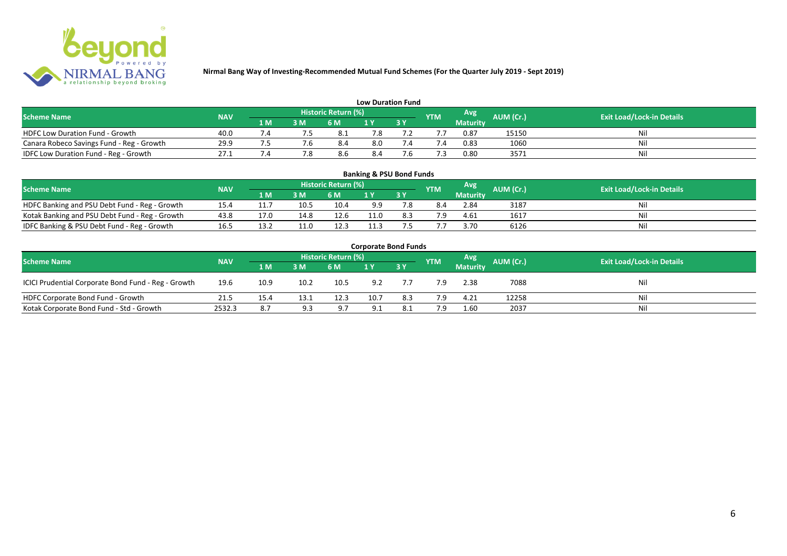

| <b>Low Duration Fund</b>                  |            |     |     |                            |     |  |               |          |           |                                  |  |  |  |  |
|-------------------------------------------|------------|-----|-----|----------------------------|-----|--|---------------|----------|-----------|----------------------------------|--|--|--|--|
| <b>Scheme Name</b>                        | <b>NAV</b> |     |     | <b>Historic Return (%)</b> |     |  | <b>YTM</b>    | Avg      | AUM (Cr.) | <b>Exit Load/Lock-in Details</b> |  |  |  |  |
|                                           |            | 1 M | 3 M | 6 M                        | 1 Y |  |               | Maturity |           |                                  |  |  |  |  |
| <b>HDFC Low Duration Fund - Growth</b>    | 40.0       |     |     | - 8.1                      | 7.8 |  |               | 0.87     | 15150     | Nil                              |  |  |  |  |
| Canara Robeco Savings Fund - Reg - Growth | 29.9       |     |     | 8.4                        | 8.0 |  | $^{\prime}.4$ | 0.83     | 1060      | Nil                              |  |  |  |  |
| IDFC Low Duration Fund - Reg - Growth     | 27.1       |     |     | 8.6                        | 8.4 |  |               | 0.80     | 3571      | Nil                              |  |  |  |  |

| <b>Banking &amp; PSU Bond Funds</b>                                                                                                                |      |      |      |      |             |     |     |                 |      |    |  |  |  |  |
|----------------------------------------------------------------------------------------------------------------------------------------------------|------|------|------|------|-------------|-----|-----|-----------------|------|----|--|--|--|--|
| <b>Historic Return (%)</b><br><b>Avg</b><br><b>AUM (Cr.)</b><br><b>Exit Load/Lock-in Details</b><br><b>NAV</b><br><b>Scheme Name</b><br><b>YTM</b> |      |      |      |      |             |     |     |                 |      |    |  |  |  |  |
|                                                                                                                                                    |      | 1 M  | 3 M  | 6 M  |             | 3Y  |     | <b>Maturity</b> |      |    |  |  |  |  |
| HDFC Banking and PSU Debt Fund - Reg - Growth                                                                                                      | 15.4 |      | 10.5 | 10.4 | 9.9         |     | 8.4 | 2.84            | 3187 | Ni |  |  |  |  |
| Kotak Banking and PSU Debt Fund - Reg - Growth                                                                                                     | 43.8 | 17.0 | 14.8 | 12.6 | $\cdot$ 1.0 | 8.3 | 7.9 | 4.61            | 1617 | Ni |  |  |  |  |
| IDFC Banking & PSU Debt Fund - Reg - Growth                                                                                                        | 16.5 | 13.2 |      | 12.3 | 11.3        |     |     | 3.70            | 6126 | Ni |  |  |  |  |

| <b>Corporate Bond Funds</b>                         |            |      |      |                     |      |     |            |                 |           |                                  |  |  |  |  |
|-----------------------------------------------------|------------|------|------|---------------------|------|-----|------------|-----------------|-----------|----------------------------------|--|--|--|--|
| <b>Scheme Name</b>                                  | <b>NAV</b> |      |      | Historic Return (%) |      |     | <b>YTM</b> | Avg             | AUM (Cr.) | <b>Exit Load/Lock-in Details</b> |  |  |  |  |
|                                                     |            | 1 M  | 3 M  | 6 M                 |      | 3Y  |            | <b>Maturity</b> |           |                                  |  |  |  |  |
| ICICI Prudential Corporate Bond Fund - Reg - Growth | 19.6       | 10.9 | 10.2 | 10.5                | 9.2  |     | 7.9        | 2.38            | 7088      | Nil                              |  |  |  |  |
| HDFC Corporate Bond Fund - Growth                   | 21.5       | 15.4 | 13.1 | 12.3                | 10.7 | 8.3 | 7.9        | 4.21            | 12258     | Nil                              |  |  |  |  |
| Kotak Corporate Bond Fund - Std - Growth            | 2532.3     | 8.7  | 9.3  | 9.7                 |      | 8.1 | 7.9        | 1.60            | 2037      | Nil                              |  |  |  |  |